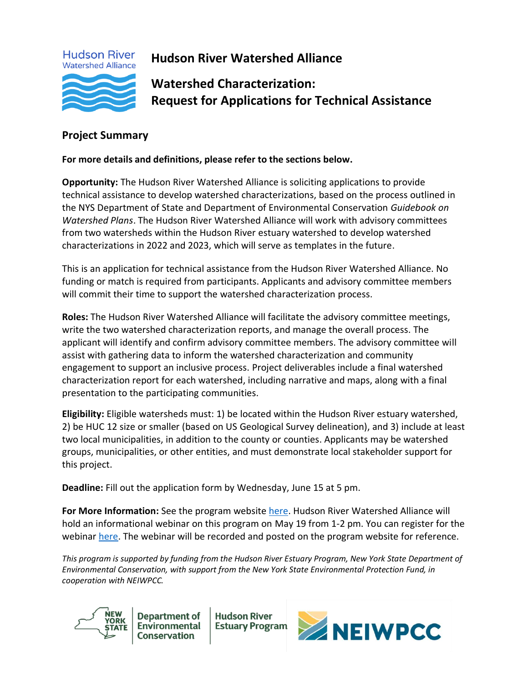

**Hudson River Watershed Alliance**

**Watershed Characterization: Request for Applications for Technical Assistance**

# <span id="page-0-0"></span>**Project Summary**

#### **For more details and definitions, please refer to the sections below.**

**Opportunity:** The Hudson River Watershed Alliance is soliciting applications to provide technical assistance to develop watershed characterizations, based on the process outlined in the NYS Department of State and Department of Environmental Conservation *Guidebook on Watershed Plans*. The Hudson River Watershed Alliance will work with advisory committees from two watersheds within the Hudson River estuary watershed to develop watershed characterizations in 2022 and 2023, which will serve as templates in the future.

This is an application for technical assistance from the Hudson River Watershed Alliance. No funding or match is required from participants. Applicants and advisory committee members will commit their time to support the watershed characterization process.

**Roles:** The Hudson River Watershed Alliance will facilitate the advisory committee meetings, write the two watershed characterization reports, and manage the overall process. The applicant will identify and confirm advisory committee members. The advisory committee will assist with gathering data to inform the watershed characterization and community engagement to support an inclusive process. Project deliverables include a final watershed characterization report for each watershed, including narrative and maps, along with a final presentation to the participating communities.

**Eligibility:** Eligible watersheds must: 1) be located within the Hudson River estuary watershed, 2) be HUC 12 size or smaller (based on US Geological Survey delineation), and 3) include at least two local municipalities, in addition to the county or counties. Applicants may be watershed groups, municipalities, or other entities, and must demonstrate local stakeholder support for this project.

**Deadline:** Fill out the application form by Wednesday, June 15 at 5 pm.

**For More Information:** See the program websit[e here.](https://hudsonwatershed.org/watershed-characterization-technical-assistance) Hudson River Watershed Alliance will hold an informational webinar on this program on May 19 from 1-2 pm. You can register for the webinar [here.](https://us02web.zoom.us/webinar/register/WN_12Eskec7Qt6j2l5JC7BVbw) The webinar will be recorded and posted on the program website for reference.

*This program is supported by funding from the Hudson River Estuary Program, New York State Department of Environmental Conservation, with support from the New York State Environmental Protection Fund, in cooperation with NEIWPCC.*



**Department of** Environmental **Conservation** 

**Hudson River Estuary Program** 

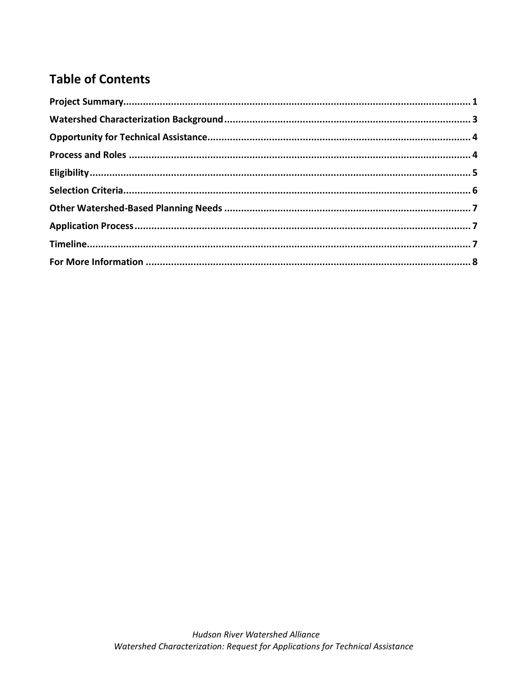# **Table of Contents**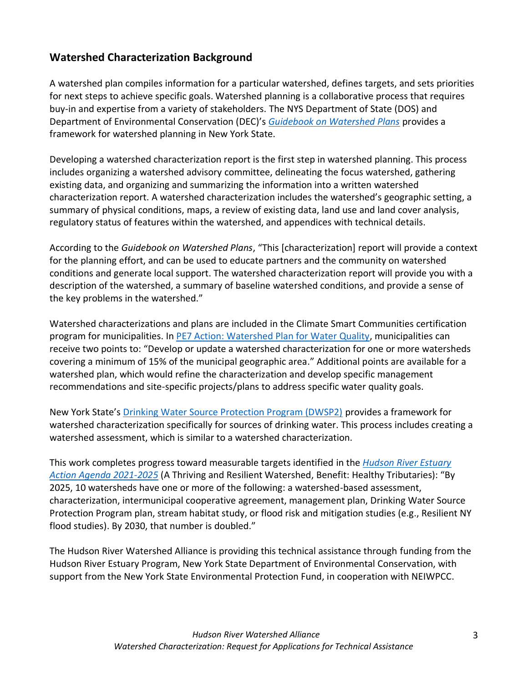# <span id="page-2-0"></span>**Watershed Characterization Background**

A watershed plan compiles information for a particular watershed, defines targets, and sets priorities for next steps to achieve specific goals. Watershed planning is a collaborative process that requires buy-in and expertise from a variety of stakeholders. The NYS Department of State (DOS) and Department of Environmental Conservation (DEC)'s *[Guidebook on Watershed Plans](https://hudsonwatershed.org/wp-content/uploads/DOSWatershedPlansGuidebook.pdf)* provides a framework for watershed planning in New York State.

Developing a watershed characterization report is the first step in watershed planning. This process includes organizing a watershed advisory committee, delineating the focus watershed, gathering existing data, and organizing and summarizing the information into a written watershed characterization report. A watershed characterization includes the watershed's geographic setting, a summary of physical conditions, maps, a review of existing data, land use and land cover analysis, regulatory status of features within the watershed, and appendices with technical details.

According to the *Guidebook on Watershed Plans*, "This [characterization] report will provide a context for the planning effort, and can be used to educate partners and the community on watershed conditions and generate local support. The watershed characterization report will provide you with a description of the watershed, a summary of baseline watershed conditions, and provide a sense of the key problems in the watershed."

Watershed characterizations and plans are included in the Climate Smart Communities certification program for municipalities. In [PE7 Action: Watershed Plan for Water Quality,](https://climatesmart.ny.gov/actions-certification/actions/#open/action/156) municipalities can receive two points to: "Develop or update a watershed characterization for one or more watersheds covering a minimum of 15% of the municipal geographic area." Additional points are available for a watershed plan, which would refine the characterization and develop specific management recommendations and site-specific projects/plans to address specific water quality goals.

New York State's [Drinking Water Source Protection Program \(DWSP2\)](https://www.dec.ny.gov/chemical/115250.html) provides a framework for watershed characterization specifically for sources of drinking water. This process includes creating a watershed assessment, which is similar to a watershed characterization.

This work completes progress toward measurable targets identified in the *[Hudson River Estuary](https://www.dec.ny.gov/docs/remediation_hudson_pdf/hreaa2021.pdf)  [Action Agenda 2021-2025](https://www.dec.ny.gov/docs/remediation_hudson_pdf/hreaa2021.pdf)* (A Thriving and Resilient Watershed, Benefit: Healthy Tributaries): "By 2025, 10 watersheds have one or more of the following: a watershed-based assessment, characterization, intermunicipal cooperative agreement, management plan, Drinking Water Source Protection Program plan, stream habitat study, or flood risk and mitigation studies (e.g., Resilient NY flood studies). By 2030, that number is doubled."

The Hudson River Watershed Alliance is providing this technical assistance through funding from the Hudson River Estuary Program, New York State Department of Environmental Conservation, with support from the New York State Environmental Protection Fund, in cooperation with NEIWPCC.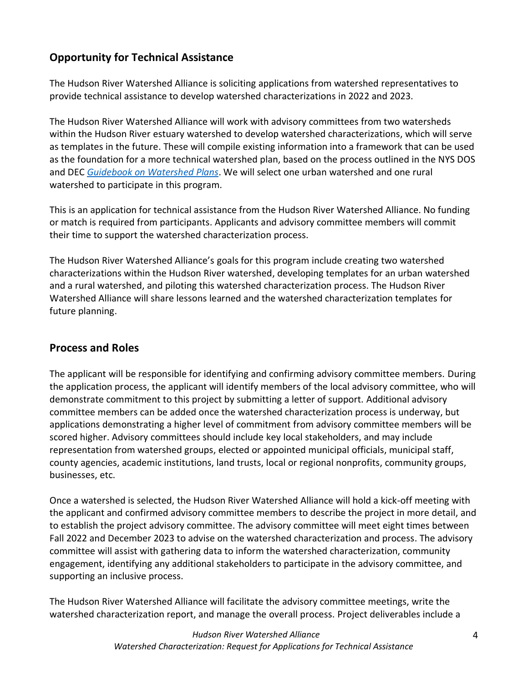# <span id="page-3-0"></span>**Opportunity for Technical Assistance**

The Hudson River Watershed Alliance is soliciting applications from watershed representatives to provide technical assistance to develop watershed characterizations in 2022 and 2023.

The Hudson River Watershed Alliance will work with advisory committees from two watersheds within the Hudson River estuary watershed to develop watershed characterizations, which will serve as templates in the future. These will compile existing information into a framework that can be used as the foundation for a more technical watershed plan, based on the process outlined in the NYS DOS and DEC *[Guidebook on Watershed Plans](https://hudsonwatershed.org/wp-content/uploads/DOSWatershedPlansGuidebook.pdf)*. We will select one urban watershed and one rural watershed to participate in this program.

This is an application for technical assistance from the Hudson River Watershed Alliance. No funding or match is required from participants. Applicants and advisory committee members will commit their time to support the watershed characterization process.

The Hudson River Watershed Alliance's goals for this program include creating two watershed characterizations within the Hudson River watershed, developing templates for an urban watershed and a rural watershed, and piloting this watershed characterization process. The Hudson River Watershed Alliance will share lessons learned and the watershed characterization templates for future planning.

# <span id="page-3-1"></span>**Process and Roles**

The applicant will be responsible for identifying and confirming advisory committee members. During the application process, the applicant will identify members of the local advisory committee, who will demonstrate commitment to this project by submitting a letter of support. Additional advisory committee members can be added once the watershed characterization process is underway, but applications demonstrating a higher level of commitment from advisory committee members will be scored higher. Advisory committees should include key local stakeholders, and may include representation from watershed groups, elected or appointed municipal officials, municipal staff, county agencies, academic institutions, land trusts, local or regional nonprofits, community groups, businesses, etc.

Once a watershed is selected, the Hudson River Watershed Alliance will hold a kick-off meeting with the applicant and confirmed advisory committee members to describe the project in more detail, and to establish the project advisory committee. The advisory committee will meet eight times between Fall 2022 and December 2023 to advise on the watershed characterization and process. The advisory committee will assist with gathering data to inform the watershed characterization, community engagement, identifying any additional stakeholders to participate in the advisory committee, and supporting an inclusive process.

The Hudson River Watershed Alliance will facilitate the advisory committee meetings, write the watershed characterization report, and manage the overall process. Project deliverables include a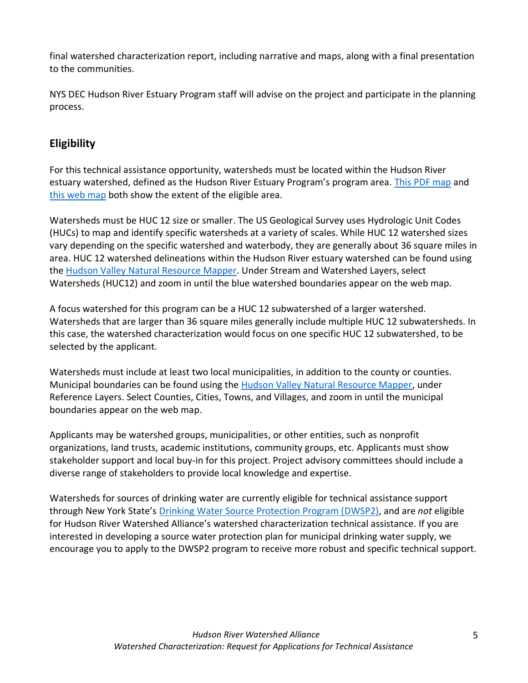final watershed characterization report, including narrative and maps, along with a final presentation to the communities.

NYS DEC Hudson River Estuary Program staff will advise on the project and participate in the planning process.

# <span id="page-4-0"></span>**Eligibility**

For this technical assistance opportunity, watersheds must be located within the Hudson River estuary watershed, defined as the Hudson River Estuary Program's program area. [This PDF map](https://www.dec.ny.gov/docs/remediation_hudson_pdf/hregrantmap.pdf) and [this web map](https://www.dec.ny.gov/ekmz/index.html?url=http://www.dec.ny.gov/maps/gmhudsonboundary.kmz) both show the extent of the eligible area.

Watersheds must be HUC 12 size or smaller. The US Geological Survey uses Hydrologic Unit Codes (HUCs) to map and identify specific watersheds at a variety of scales. While HUC 12 watershed sizes vary depending on the specific watershed and waterbody, they are generally about 36 square miles in area. HUC 12 watershed delineations within the Hudson River estuary watershed can be found using the [Hudson Valley Natural Resource Mapper.](https://gisservices.dec.ny.gov/gis/hvnrm/) Under Stream and Watershed Layers, select Watersheds (HUC12) and zoom in until the blue watershed boundaries appear on the web map.

A focus watershed for this program can be a HUC 12 subwatershed of a larger watershed. Watersheds that are larger than 36 square miles generally include multiple HUC 12 subwatersheds. In this case, the watershed characterization would focus on one specific HUC 12 subwatershed, to be selected by the applicant.

Watersheds must include at least two local municipalities, in addition to the county or counties. Municipal boundaries can be found using the [Hudson Valley Natural Resource Mapper,](https://gisservices.dec.ny.gov/gis/hvnrm/) under Reference Layers. Select Counties, Cities, Towns, and Villages, and zoom in until the municipal boundaries appear on the web map.

Applicants may be watershed groups, municipalities, or other entities, such as nonprofit organizations, land trusts, academic institutions, community groups, etc. Applicants must show stakeholder support and local buy-in for this project. Project advisory committees should include a diverse range of stakeholders to provide local knowledge and expertise.

Watersheds for sources of drinking water are currently eligible for technical assistance support through New York State's [Drinking Water Source Protection Program \(DWSP2\),](https://www.dec.ny.gov/chemical/115250.html) and are *not* eligible for Hudson River Watershed Alliance's watershed characterization technical assistance. If you are interested in developing a source water protection plan for municipal drinking water supply, we encourage you to apply to the DWSP2 program to receive more robust and specific technical support.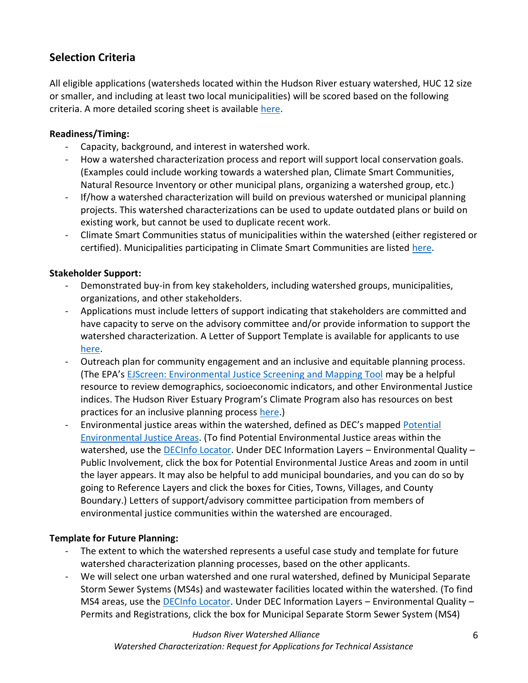# <span id="page-5-0"></span>**Selection Criteria**

All eligible applications (watersheds located within the Hudson River estuary watershed, HUC 12 size or smaller, and including at least two local municipalities) will be scored based on the following criteria. A more detailed scoring sheet is available [here.](https://hudsonwatershed.org/wp-content/uploads/Watershed-Characterization-Technical-Assistance-Scoring-Sheet.pdf)

#### **Readiness/Timing:**

- Capacity, background, and interest in watershed work.
- How a watershed characterization process and report will support local conservation goals. (Examples could include working towards a watershed plan, Climate Smart Communities, Natural Resource Inventory or other municipal plans, organizing a watershed group, etc.)
- If/how a watershed characterization will build on previous watershed or municipal planning projects. This watershed characterizations can be used to update outdated plans or build on existing work, but cannot be used to duplicate recent work.
- Climate Smart Communities status of municipalities within the watershed (either registered or certified). Municipalities participating in Climate Smart Communities are listed [here.](https://climatesmart.ny.gov/actions-certification/participating-communities/)

#### **Stakeholder Support:**

- Demonstrated buy-in from key stakeholders, including watershed groups, municipalities, organizations, and other stakeholders.
- Applications must include letters of support indicating that stakeholders are committed and have capacity to serve on the advisory committee and/or provide information to support the watershed characterization. A Letter of Support Template is available for applicants to use [here.](https://hudsonwatershed.org/wp-content/uploads/Watershed-Characterization-Technical-Assistance-Letter-of-Support-Template.docx)
- Outreach plan for community engagement and an inclusive and equitable planning process. (The EPA's [EJScreen: Environmental Justice Screening and Mapping Tool](https://www.epa.gov/ejscreen) may be a helpful resource to review demographics, socioeconomic indicators, and other Environmental Justice indices. The Hudson River Estuary Program's Climate Program also has resources on best practices for an inclusive planning process [here.](.%20https:/wri.cals.cornell.edu/hudson-river-estuary/climate-change-hudson-river-estuary/resources-resilience/inclusive-planning-community-resilience))
- Environmental justice areas within the watershed, defined as DEC's mapped [Potential](https://www.dec.ny.gov/public/911.html)  [Environmental Justice Areas.](https://www.dec.ny.gov/public/911.html) (To find Potential Environmental Justice areas within the watershed, use the **DECInfo Locator**. Under DEC Information Layers - Environmental Quality -Public Involvement, click the box for Potential Environmental Justice Areas and zoom in until the layer appears. It may also be helpful to add municipal boundaries, and you can do so by going to Reference Layers and click the boxes for Cities, Towns, Villages, and County Boundary.) Letters of support/advisory committee participation from members of environmental justice communities within the watershed are encouraged.

### **Template for Future Planning:**

- The extent to which the watershed represents a useful case study and template for future watershed characterization planning processes, based on the other applicants.
- We will select one urban watershed and one rural watershed, defined by Municipal Separate Storm Sewer Systems (MS4s) and wastewater facilities located within the watershed. (To find MS4 areas, use the [DECInfo Locator.](https://gisservices.dec.ny.gov/gis/dil/) Under DEC Information Layers – Environmental Quality – Permits and Registrations, click the box for Municipal Separate Storm Sewer System (MS4)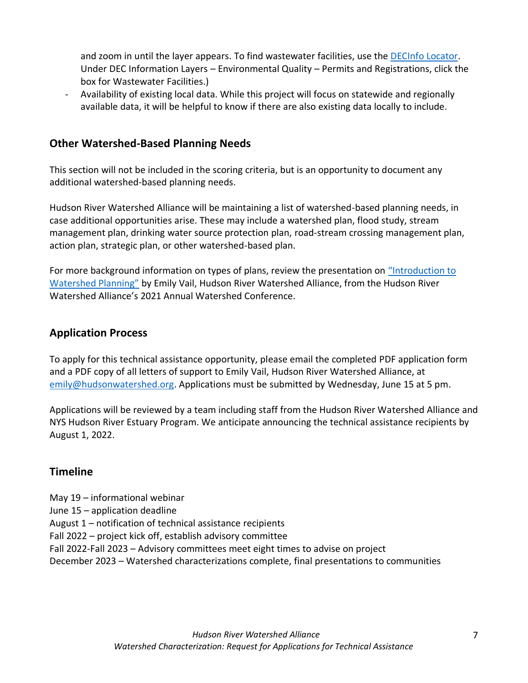and zoom in until the layer appears. To find wastewater facilities, use the [DECInfo Locator.](https://gisservices.dec.ny.gov/gis/dil/) Under DEC Information Layers – Environmental Quality – Permits and Registrations, click the box for Wastewater Facilities.)

- Availability of existing local data. While this project will focus on statewide and regionally available data, it will be helpful to know if there are also existing data locally to include.

### <span id="page-6-0"></span>**Other Watershed-Based Planning Needs**

This section will not be included in the scoring criteria, but is an opportunity to document any additional watershed-based planning needs.

Hudson River Watershed Alliance will be maintaining a list of watershed-based planning needs, in case additional opportunities arise. These may include a watershed plan, flood study, stream management plan, drinking water source protection plan, road-stream crossing management plan, action plan, strategic plan, or other watershed-based plan.

For more background information on types of plans, review the presentation on ["Introduction to](https://youtu.be/di8THB-LT9o)  [Watershed Planning"](https://youtu.be/di8THB-LT9o) by Emily Vail, Hudson River Watershed Alliance, from the Hudson River Watershed Alliance's 2021 Annual Watershed Conference.

### <span id="page-6-1"></span>**Application Process**

To apply for this technical assistance opportunity, please email the completed PDF application form and a PDF copy of all letters of support to Emily Vail, Hudson River Watershed Alliance, at [emily@hudsonwatershed.org.](mailto:emily@hudsonwatershed.org) Applications must be submitted by Wednesday, June 15 at 5 pm.

Applications will be reviewed by a team including staff from the Hudson River Watershed Alliance and NYS Hudson River Estuary Program. We anticipate announcing the technical assistance recipients by August 1, 2022.

# <span id="page-6-2"></span>**Timeline**

May 19 – informational webinar June 15 – application deadline August 1 – notification of technical assistance recipients Fall 2022 – project kick off, establish advisory committee Fall 2022-Fall 2023 – Advisory committees meet eight times to advise on project December 2023 – Watershed characterizations complete, final presentations to communities